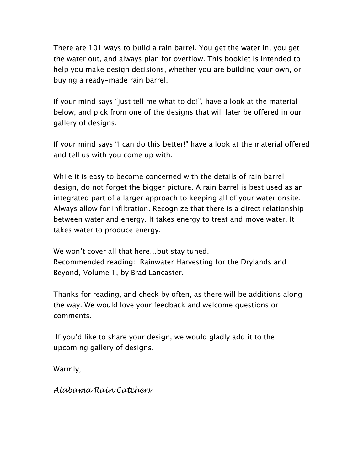There are 101 ways to build a rain barrel. You get the water in, you get the water out, and always plan for overflow. This booklet is intended to help you make design decisions, whether you are building your own, or buying a ready-made rain barrel.

If your mind says "just tell me what to do!", have a look at the material below, and pick from one of the designs that will later be offered in our gallery of designs.

If your mind says "I can do this better!" have a look at the material offered and tell us with you come up with.

While it is easy to become concerned with the details of rain barrel design, do not forget the bigger picture. A rain barrel is best used as an integrated part of a larger approach to keeping all of your water onsite. Always allow for infiltration. Recognize that there is a direct relationship between water and energy. It takes energy to treat and move water. It takes water to produce energy.

We won't cover all that here…but stay tuned. Recommended reading: Rainwater Harvesting for the Drylands and Beyond, Volume 1, by Brad Lancaster.

Thanks for reading, and check by often, as there will be additions along the way. We would love your feedback and welcome questions or comments.

 If you'd like to share your design, we would gladly add it to the upcoming gallery of designs.

Warmly,

*Alabama Rain Catchers*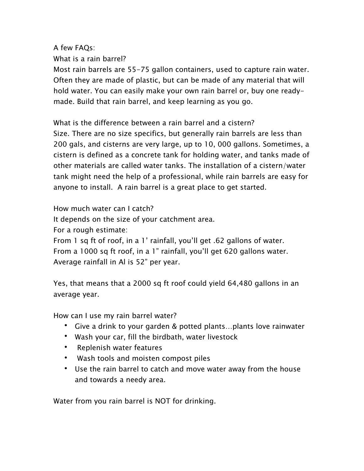A few FAQs:

What is a rain barrel?

Most rain barrels are 55-75 gallon containers, used to capture rain water. Often they are made of plastic, but can be made of any material that will hold water. You can easily make your own rain barrel or, buy one readymade. Build that rain barrel, and keep learning as you go.

What is the difference between a rain barrel and a cistern? Size. There are no size specifics, but generally rain barrels are less than 200 gals, and cisterns are very large, up to 10, 000 gallons. Sometimes, a cistern is defined as a concrete tank for holding water, and tanks made of other materials are called water tanks. The installation of a cistern/water tank might need the help of a professional, while rain barrels are easy for anyone to install. A rain barrel is a great place to get started.

How much water can I catch?

It depends on the size of your catchment area.

For a rough estimate:

From 1 sq ft of roof, in a 1' rainfall, you'll get .62 gallons of water. From a 1000 sq ft roof, in a 1" rainfall, you'll get 620 gallons water. Average rainfall in Al is 52" per year.

Yes, that means that a 2000 sq ft roof could yield 64,480 gallons in an average year.

How can I use my rain barrel water?

- Give a drink to your garden & potted plants...plants love rainwater
- • Wash your car, fill the birdbath, water livestock
- Replenish water features
- Wash tools and moisten compost piles
- Use the rain barrel to catch and move water away from the house and towards a needy area.

Water from you rain barrel is NOT for drinking.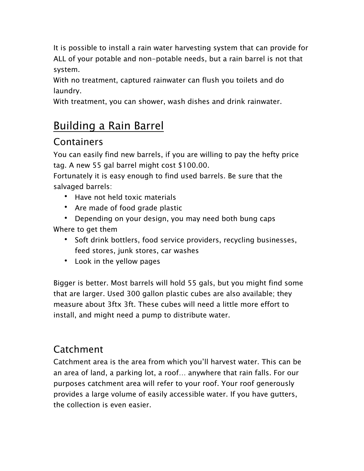It is possible to install a rain water harvesting system that can provide for ALL of your potable and non-potable needs, but a rain barrel is not that system.

With no treatment, captured rainwater can flush you toilets and do laundry.

With treatment, you can shower, wash dishes and drink rainwater.

# Building a Rain Barrel

## **Containers**

You can easily find new barrels, if you are willing to pay the hefty price tag. A new 55 gal barrel might cost \$100.00.

Fortunately it is easy enough to find used barrels. Be sure that the salvaged barrels:

- Have not held toxic materials
- Are made of food grade plastic
- Depending on your design, you may need both bung caps Where to get them
	- • Soft drink bottlers, food service providers, recycling businesses, feed stores, junk stores, car washes
	- Look in the yellow pages

Bigger is better. Most barrels will hold 55 gals, but you might find some that are larger. Used 300 gallon plastic cubes are also available; they measure about 3ftx 3ft. These cubes will need a little more effort to install, and might need a pump to distribute water.

## Catchment

Catchment area is the area from which you'll harvest water. This can be an area of land, a parking lot, a roof… anywhere that rain falls. For our purposes catchment area will refer to your roof. Your roof generously provides a large volume of easily accessible water. If you have gutters, the collection is even easier.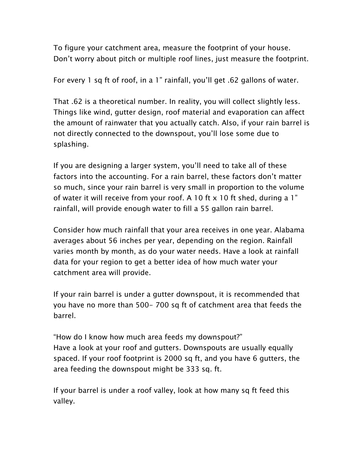To figure your catchment area, measure the footprint of your house. Don't worry about pitch or multiple roof lines, just measure the footprint.

For every 1 sq ft of roof, in a 1" rainfall, you'll get .62 gallons of water.

That .62 is a theoretical number. In reality, you will collect slightly less. Things like wind, gutter design, roof material and evaporation can affect the amount of rainwater that you actually catch. Also, if your rain barrel is not directly connected to the downspout, you'll lose some due to splashing.

If you are designing a larger system, you'll need to take all of these factors into the accounting. For a rain barrel, these factors don't matter so much, since your rain barrel is very small in proportion to the volume of water it will receive from your roof. A 10 ft  $\times$  10 ft shed, during a 1" rainfall, will provide enough water to fill a 55 gallon rain barrel.

Consider how much rainfall that your area receives in one year. Alabama averages about 56 inches per year, depending on the region. Rainfall varies month by month, as do your water needs. Have a look at rainfall data for your region to get a better idea of how much water your catchment area will provide.

If your rain barrel is under a gutter downspout, it is recommended that you have no more than 500- 700 sq ft of catchment area that feeds the barrel.

"How do I know how much area feeds my downspout?" Have a look at your roof and gutters. Downspouts are usually equally spaced. If your roof footprint is 2000 sq ft, and you have 6 gutters, the area feeding the downspout might be 333 sq. ft.

If your barrel is under a roof valley, look at how many sq ft feed this valley.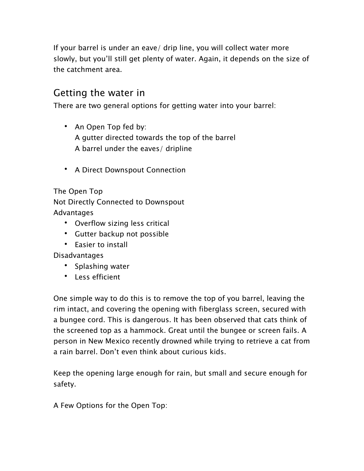If your barrel is under an eave/ drip line, you will collect water more slowly, but you'll still get plenty of water. Again, it depends on the size of the catchment area.

## Getting the water in

There are two general options for getting water into your barrel:

- An Open Top fed by: A gutter directed towards the top of the barrel A barrel under the eaves/ dripline
- • A Direct Downspout Connection

The Open Top Not Directly Connected to Downspout Advantages

- • Overflow sizing less critical
- • Gutter backup not possible
- Easier to install

Disadvantages

- Splashing water
- • Less efficient

One simple way to do this is to remove the top of you barrel, leaving the rim intact, and covering the opening with fiberglass screen, secured with a bungee cord. This is dangerous. It has been observed that cats think of the screened top as a hammock. Great until the bungee or screen fails. A person in New Mexico recently drowned while trying to retrieve a cat from a rain barrel. Don't even think about curious kids.

Keep the opening large enough for rain, but small and secure enough for safety.

A Few Options for the Open Top: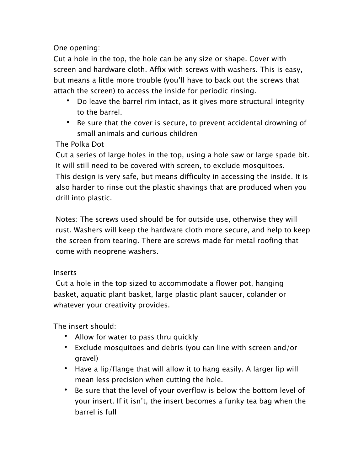One opening:

Cut a hole in the top, the hole can be any size or shape. Cover with screen and hardware cloth. Affix with screws with washers. This is easy, but means a little more trouble (you'll have to back out the screws that attach the screen) to access the inside for periodic rinsing.

- Do leave the barrel rim intact, as it gives more structural integrity to the barrel.
- • Be sure that the cover is secure, to prevent accidental drowning of small animals and curious children

#### The Polka Dot

Cut a series of large holes in the top, using a hole saw or large spade bit. It will still need to be covered with screen, to exclude mosquitoes. This design is very safe, but means difficulty in accessing the inside. It is also harder to rinse out the plastic shavings that are produced when you drill into plastic.

Notes: The screws used should be for outside use, otherwise they will rust. Washers will keep the hardware cloth more secure, and help to keep the screen from tearing. There are screws made for metal roofing that come with neoprene washers.

#### Inserts

 Cut a hole in the top sized to accommodate a flower pot, hanging basket, aquatic plant basket, large plastic plant saucer, colander or whatever your creativity provides.

The insert should:

- • Allow for water to pass thru quickly
- Exclude mosquitoes and debris (you can line with screen and/or gravel)
- Have a lip/flange that will allow it to hang easily. A larger lip will mean less precision when cutting the hole.
- Be sure that the level of your overflow is below the bottom level of your insert. If it isn't, the insert becomes a funky tea bag when the barrel is full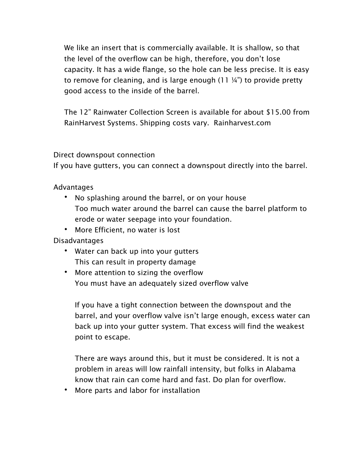We like an insert that is commercially available. It is shallow, so that the level of the overflow can be high, therefore, you don't lose capacity. It has a wide flange, so the hole can be less precise. It is easy to remove for cleaning, and is large enough  $(11 \frac{1}{4})$  to provide pretty good access to the inside of the barrel.

The 12" Rainwater Collection Screen is available for about \$15.00 from RainHarvest Systems. Shipping costs vary. Rainharvest.com

#### Direct downspout connection

If you have gutters, you can connect a downspout directly into the barrel.

Advantages

- • No splashing around the barrel, or on your house Too much water around the barrel can cause the barrel platform to erode or water seepage into your foundation.
- More Efficient, no water is lost

Disadvantages

- Water can back up into your gutters This can result in property damage
- • More attention to sizing the overflow You must have an adequately sized overflow valve

If you have a tight connection between the downspout and the barrel, and your overflow valve isn't large enough, excess water can back up into your gutter system. That excess will find the weakest point to escape.

There are ways around this, but it must be considered. It is not a problem in areas will low rainfall intensity, but folks in Alabama know that rain can come hard and fast. Do plan for overflow.

• More parts and labor for installation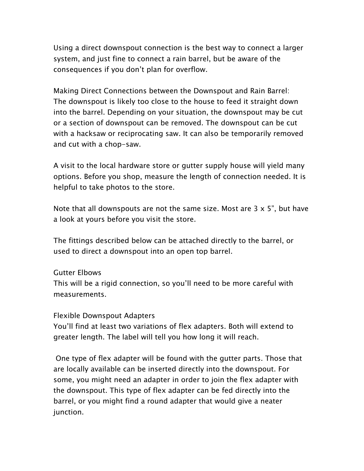Using a direct downspout connection is the best way to connect a larger system, and just fine to connect a rain barrel, but be aware of the consequences if you don't plan for overflow.

Making Direct Connections between the Downspout and Rain Barrel: The downspout is likely too close to the house to feed it straight down into the barrel. Depending on your situation, the downspout may be cut or a section of downspout can be removed. The downspout can be cut with a hacksaw or reciprocating saw. It can also be temporarily removed and cut with a chop-saw.

A visit to the local hardware store or gutter supply house will yield many options. Before you shop, measure the length of connection needed. It is helpful to take photos to the store.

Note that all downspouts are not the same size. Most are  $3 \times 5$ ", but have a look at yours before you visit the store.

The fittings described below can be attached directly to the barrel, or used to direct a downspout into an open top barrel.

#### Gutter Elbows

This will be a rigid connection, so you'll need to be more careful with measurements.

#### Flexible Downspout Adapters

You'll find at least two variations of flex adapters. Both will extend to greater length. The label will tell you how long it will reach.

 One type of flex adapter will be found with the gutter parts. Those that are locally available can be inserted directly into the downspout. For some, you might need an adapter in order to join the flex adapter with the downspout. This type of flex adapter can be fed directly into the barrel, or you might find a round adapter that would give a neater junction.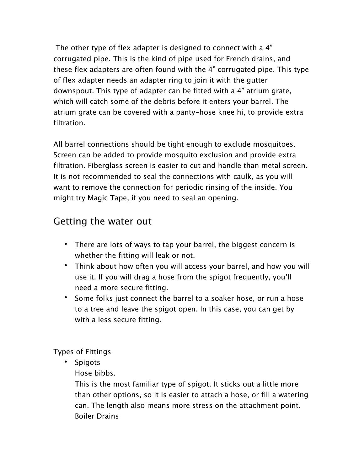The other type of flex adapter is designed to connect with a 4" corrugated pipe. This is the kind of pipe used for French drains, and these flex adapters are often found with the 4" corrugated pipe. This type of flex adapter needs an adapter ring to join it with the gutter downspout. This type of adapter can be fitted with a 4" atrium grate, which will catch some of the debris before it enters your barrel. The atrium grate can be covered with a panty-hose knee hi, to provide extra filtration.

All barrel connections should be tight enough to exclude mosquitoes. Screen can be added to provide mosquito exclusion and provide extra filtration. Fiberglass screen is easier to cut and handle than metal screen. It is not recommended to seal the connections with caulk, as you will want to remove the connection for periodic rinsing of the inside. You might try Magic Tape, if you need to seal an opening.

## Getting the water out

- There are lots of ways to tap your barrel, the biggest concern is whether the fitting will leak or not.
- Think about how often you will access your barrel, and how you will use it. If you will drag a hose from the spigot frequently, you'll need a more secure fitting.
- Some folks just connect the barrel to a soaker hose, or run a hose to a tree and leave the spigot open. In this case, you can get by with a less secure fitting.

Types of Fittings

• Spigots

Hose bibbs.

This is the most familiar type of spigot. It sticks out a little more than other options, so it is easier to attach a hose, or fill a watering can. The length also means more stress on the attachment point. Boiler Drains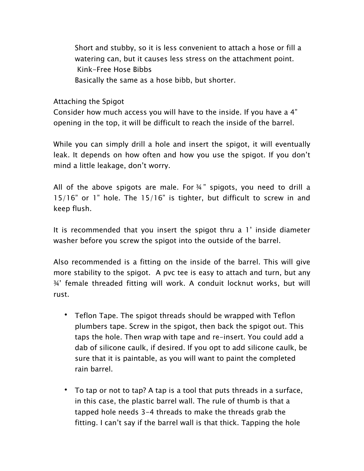Short and stubby, so it is less convenient to attach a hose or fill a watering can, but it causes less stress on the attachment point. Kink-Free Hose Bibbs Basically the same as a hose bibb, but shorter.

Attaching the Spigot

Consider how much access you will have to the inside. If you have a 4" opening in the top, it will be difficult to reach the inside of the barrel.

 While you can simply drill a hole and insert the spigot, it will eventually leak. It depends on how often and how you use the spigot. If you don't mind a little leakage, don't worry.

 All of the above spigots are male. For ¾ " spigots, you need to drill a 15/16" or 1" hole. The 15/16" is tighter, but difficult to screw in and keep flush.

 It is recommended that you insert the spigot thru a 1' inside diameter washer before you screw the spigot into the outside of the barrel.

 Also recommended is a fitting on the inside of the barrel. This will give more stability to the spigot. A pvc tee is easy to attach and turn, but any ¾' female threaded fitting will work. A conduit locknut works, but will rust.

- • Teflon Tape. The spigot threads should be wrapped with Teflon plumbers tape. Screw in the spigot, then back the spigot out. This taps the hole. Then wrap with tape and re-insert. You could add a dab of silicone caulk, if desired. If you opt to add silicone caulk, be sure that it is paintable, as you will want to paint the completed rain barrel.
- • To tap or not to tap? A tap is a tool that puts threads in a surface, in this case, the plastic barrel wall. The rule of thumb is that a tapped hole needs 3-4 threads to make the threads grab the fitting. I can't say if the barrel wall is that thick. Tapping the hole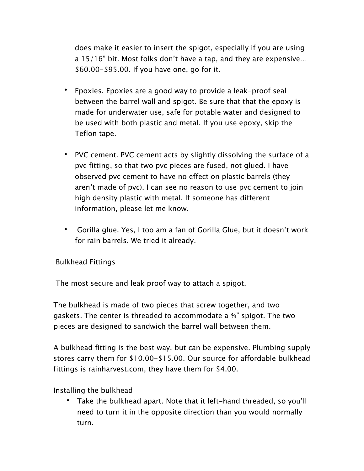does make it easier to insert the spigot, especially if you are using a 15/16" bit. Most folks don't have a tap, and they are expensive… \$60.00-\$95.00. If you have one, go for it.

- • Epoxies. Epoxies are a good way to provide a leak-proof seal between the barrel wall and spigot. Be sure that that the epoxy is made for underwater use, safe for potable water and designed to be used with both plastic and metal. If you use epoxy, skip the Teflon tape.
- • PVC cement. PVC cement acts by slightly dissolving the surface of a pvc fitting, so that two pvc pieces are fused, not glued. I have observed pvc cement to have no effect on plastic barrels (they aren't made of pvc). I can see no reason to use pvc cement to join high density plastic with metal. If someone has different information, please let me know.
- Gorilla glue. Yes, I too am a fan of Gorilla Glue, but it doesn't work for rain barrels. We tried it already.

#### Bulkhead Fittings

The most secure and leak proof way to attach a spigot.

The bulkhead is made of two pieces that screw together, and two gaskets. The center is threaded to accommodate a ¾" spigot. The two pieces are designed to sandwich the barrel wall between them.

 A bulkhead fitting is the best way, but can be expensive. Plumbing supply stores carry them for \$10.00-\$15.00. Our source for affordable bulkhead fittings is rainharvest.com, they have them for \$4.00.

Installing the bulkhead

• Take the bulkhead apart. Note that it left-hand threaded, so you'll need to turn it in the opposite direction than you would normally turn.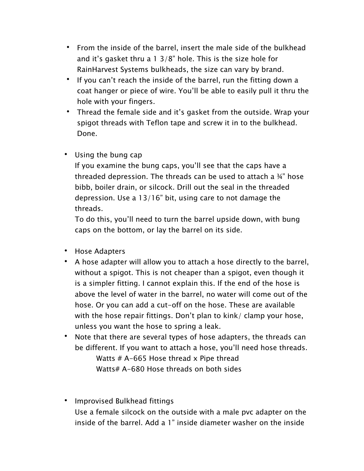- • From the inside of the barrel, insert the male side of the bulkhead and it's gasket thru a 1 3/8" hole. This is the size hole for RainHarvest Systems bulkheads, the size can vary by brand.
- If you can't reach the inside of the barrel, run the fitting down a coat hanger or piece of wire. You'll be able to easily pull it thru the hole with your fingers.
- Thread the female side and it's gasket from the outside. Wrap your spigot threads with Teflon tape and screw it in to the bulkhead. Done.
- • Using the bung cap

If you examine the bung caps, you'll see that the caps have a threaded depression. The threads can be used to attach a ¾" hose bibb, boiler drain, or silcock. Drill out the seal in the threaded depression. Use a 13/16" bit, using care to not damage the threads.

To do this, you'll need to turn the barrel upside down, with bung caps on the bottom, or lay the barrel on its side.

- Hose Adapters
- A hose adapter will allow you to attach a hose directly to the barrel, without a spigot. This is not cheaper than a spigot, even though it is a simpler fitting. I cannot explain this. If the end of the hose is above the level of water in the barrel, no water will come out of the hose. Or you can add a cut-off on the hose. These are available with the hose repair fittings. Don't plan to kink/ clamp your hose, unless you want the hose to spring a leak.
- Note that there are several types of hose adapters, the threads can be different. If you want to attach a hose, you'll need hose threads. Watts # A-665 Hose thread x Pipe thread Watts# A-680 Hose threads on both sides
- • Improvised Bulkhead fittings Use a female silcock on the outside with a male pvc adapter on the inside of the barrel. Add a 1" inside diameter washer on the inside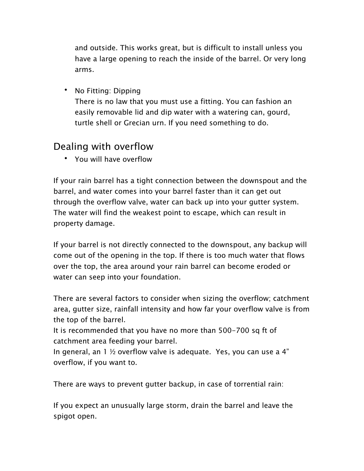and outside. This works great, but is difficult to install unless you have a large opening to reach the inside of the barrel. Or very long arms.

• No Fitting: Dipping

There is no law that you must use a fitting. You can fashion an easily removable lid and dip water with a watering can, gourd, turtle shell or Grecian urn. If you need something to do.

### Dealing with overflow

• You will have overflow

If your rain barrel has a tight connection between the downspout and the barrel, and water comes into your barrel faster than it can get out through the overflow valve, water can back up into your gutter system. The water will find the weakest point to escape, which can result in property damage.

If your barrel is not directly connected to the downspout, any backup will come out of the opening in the top. If there is too much water that flows over the top, the area around your rain barrel can become eroded or water can seep into your foundation.

There are several factors to consider when sizing the overflow; catchment area, gutter size, rainfall intensity and how far your overflow valve is from the top of the barrel.

It is recommended that you have no more than 500-700 sq ft of catchment area feeding your barrel.

In general, an  $1 \nmid 2$  overflow valve is adequate. Yes, you can use a 4" overflow, if you want to.

There are ways to prevent gutter backup, in case of torrential rain:

If you expect an unusually large storm, drain the barrel and leave the spigot open.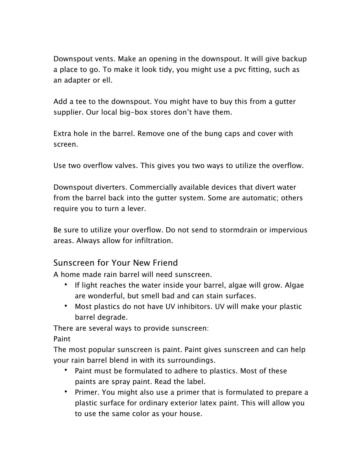Downspout vents. Make an opening in the downspout. It will give backup a place to go. To make it look tidy, you might use a pvc fitting, such as an adapter or ell.

Add a tee to the downspout. You might have to buy this from a gutter supplier. Our local big-box stores don't have them.

Extra hole in the barrel. Remove one of the bung caps and cover with screen.

Use two overflow valves. This gives you two ways to utilize the overflow.

Downspout diverters. Commercially available devices that divert water from the barrel back into the gutter system. Some are automatic; others require you to turn a lever.

Be sure to utilize your overflow. Do not send to stormdrain or impervious areas. Always allow for infiltration.

#### Sunscreen for Your New Friend

A home made rain barrel will need sunscreen.

- If light reaches the water inside your barrel, algae will grow. Algae are wonderful, but smell bad and can stain surfaces.
- Most plastics do not have UV inhibitors. UV will make your plastic barrel degrade.

There are several ways to provide sunscreen:

Paint

The most popular sunscreen is paint. Paint gives sunscreen and can help your rain barrel blend in with its surroundings.

- Paint must be formulated to adhere to plastics. Most of these paints are spray paint. Read the label.
- Primer. You might also use a primer that is formulated to prepare a plastic surface for ordinary exterior latex paint. This will allow you to use the same color as your house.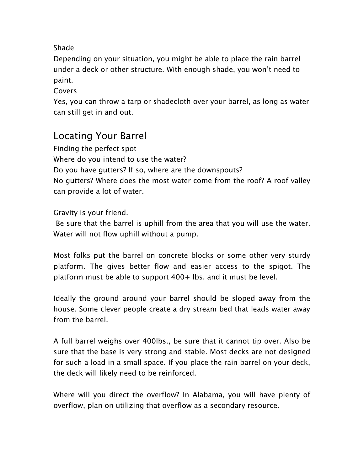#### Shade

Depending on your situation, you might be able to place the rain barrel under a deck or other structure. With enough shade, you won't need to paint.

Covers

Yes, you can throw a tarp or shadecloth over your barrel, as long as water can still get in and out.

## Locating Your Barrel

 No gutters? Where does the most water come from the roof? A roof valley Finding the perfect spot Where do you intend to use the water? Do you have gutters? If so, where are the downspouts? can provide a lot of water.

Gravity is your friend.

 Be sure that the barrel is uphill from the area that you will use the water. Water will not flow uphill without a pump.

 Most folks put the barrel on concrete blocks or some other very sturdy platform. The gives better flow and easier access to the spigot. The platform must be able to support 400+ lbs. and it must be level.

 Ideally the ground around your barrel should be sloped away from the house. Some clever people create a dry stream bed that leads water away from the barrel.

 A full barrel weighs over 400lbs., be sure that it cannot tip over. Also be sure that the base is very strong and stable. Most decks are not designed for such a load in a small space. If you place the rain barrel on your deck, the deck will likely need to be reinforced.

 Where will you direct the overflow? In Alabama, you will have plenty of overflow, plan on utilizing that overflow as a secondary resource.